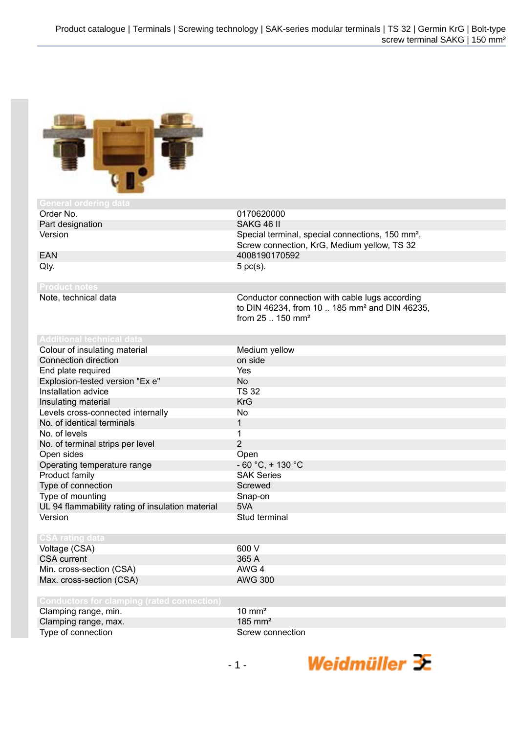

| General ordering data                             |                                                                                                                                             |
|---------------------------------------------------|---------------------------------------------------------------------------------------------------------------------------------------------|
| Order No.                                         | 0170620000                                                                                                                                  |
| Part designation                                  | SAKG 46 II                                                                                                                                  |
| Version                                           | Special terminal, special connections, 150 mm <sup>2</sup> ,                                                                                |
|                                                   | Screw connection, KrG, Medium yellow, TS 32                                                                                                 |
| <b>EAN</b>                                        | 4008190170592                                                                                                                               |
| Qty.                                              | $5$ pc(s).                                                                                                                                  |
| <b>Product notes</b>                              |                                                                                                                                             |
| Note, technical data                              | Conductor connection with cable lugs according<br>to DIN 46234, from 10  185 mm <sup>2</sup> and DIN 46235,<br>from 25  150 mm <sup>2</sup> |
| <b>Additional technical data</b>                  |                                                                                                                                             |
| Colour of insulating material                     | Medium yellow                                                                                                                               |
| Connection direction                              | on side                                                                                                                                     |
| End plate required                                | Yes                                                                                                                                         |
| Explosion-tested version "Ex e"                   | <b>No</b>                                                                                                                                   |
| Installation advice                               | <b>TS 32</b>                                                                                                                                |
| Insulating material                               | <b>KrG</b>                                                                                                                                  |
| Levels cross-connected internally                 | N <sub>o</sub>                                                                                                                              |
| No. of identical terminals                        | $\mathbf{1}$                                                                                                                                |
| No. of levels                                     | 1                                                                                                                                           |
| No. of terminal strips per level                  | $\overline{2}$                                                                                                                              |
| Open sides                                        | Open                                                                                                                                        |
| Operating temperature range                       | $-60 °C$ , $+130 °C$                                                                                                                        |
| Product family                                    | <b>SAK Series</b>                                                                                                                           |
| Type of connection                                | Screwed                                                                                                                                     |
| Type of mounting                                  | Snap-on                                                                                                                                     |
| UL 94 flammability rating of insulation material  | 5VA                                                                                                                                         |
| Version                                           | Stud terminal                                                                                                                               |
| <b>CSA rating data</b>                            |                                                                                                                                             |
| Voltage (CSA)                                     | 600 V                                                                                                                                       |
| <b>CSA</b> current                                | 365 A                                                                                                                                       |
| Min. cross-section (CSA)                          | AWG 4                                                                                                                                       |
| Max. cross-section (CSA)                          | <b>AWG 300</b>                                                                                                                              |
| <b>Conductors for clamping (rated connection)</b> |                                                                                                                                             |
| Clamping range, min.                              | $10 \text{ mm}^2$                                                                                                                           |
| Clamping range, max.                              | 185 mm <sup>2</sup>                                                                                                                         |
| Type of connection                                | Screw connection                                                                                                                            |

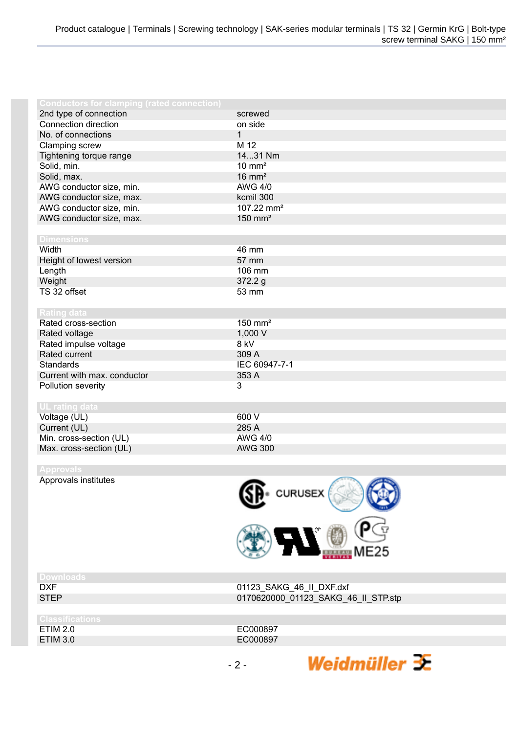| <b>Conductors for clamping (rated connection)</b> |                        |
|---------------------------------------------------|------------------------|
| 2nd type of connection                            | screwed                |
| Connection direction                              | on side                |
| No. of connections                                | $\mathbf{1}$           |
| Clamping screw                                    | M 12                   |
| Tightening torque range                           | 1431 Nm                |
| Solid, min.                                       | $10 \text{ mm}^2$      |
| Solid, max.                                       | $16 \text{ mm}^2$      |
| AWG conductor size, min.                          | <b>AWG 4/0</b>         |
| AWG conductor size, max.                          | kcmil 300              |
| AWG conductor size, min.                          | 107.22 mm <sup>2</sup> |
| AWG conductor size, max.                          | $150$ mm <sup>2</sup>  |
|                                                   |                        |
| <b>Dimensions</b>                                 |                        |
| Width                                             | 46 mm                  |
| Height of lowest version                          | 57 mm                  |
| Length                                            | 106 mm                 |
| Weight                                            | 372.2 g                |
| TS 32 offset                                      | 53 mm                  |
|                                                   |                        |
| <b>Rating data</b>                                |                        |
| Rated cross-section                               | $150$ mm <sup>2</sup>  |
| Rated voltage                                     | 1,000 V                |
| Rated impulse voltage                             | 8 kV                   |
| Rated current                                     | 309 A                  |
| Standards                                         | IEC 60947-7-1          |
| Current with max. conductor                       | 353 A                  |
| Pollution severity                                | 3                      |
|                                                   |                        |
| UL rating data                                    |                        |
| Voltage (UL)                                      | 600 V                  |
| Current (UL)                                      | 285 A                  |
| Min. cross-section (UL)                           | <b>AWG 4/0</b>         |
| Max. cross-section (UL)                           | <b>AWG 300</b>         |
|                                                   |                        |

Approvals institutes



| אר<br>г |  |  |  |
|---------|--|--|--|

| ssuren   |
|----------|
| ETIM 2.0 |
| FTIM 3 0 |

DXF 01123\_SAKG\_46\_II\_DXF.dxf 0170620000\_01123\_SAKG\_46\_II\_STP.stp

EC000897 ETIM 3.0 **ECO00897** Weidmüller  $\mathcal{\mathcal{F}}$